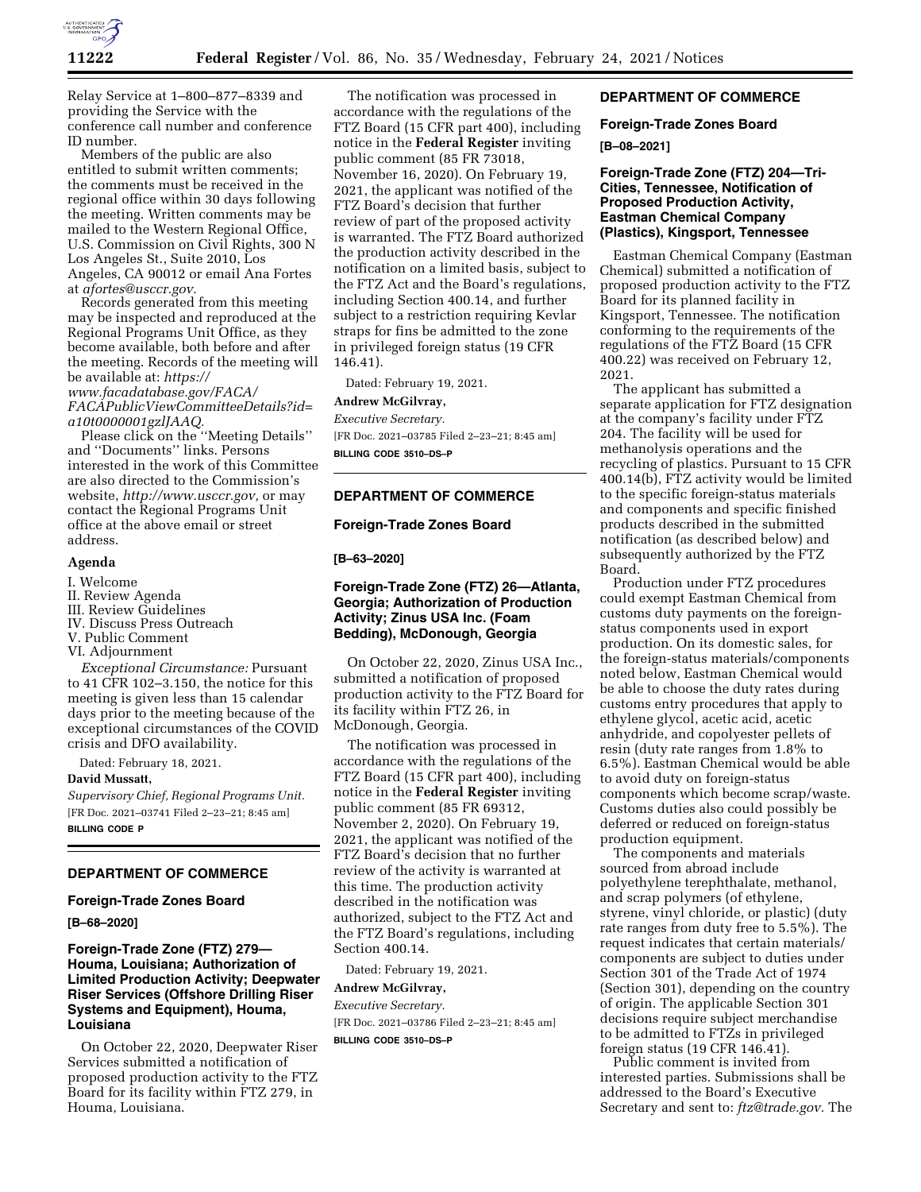

Relay Service at 1–800–877–8339 and providing the Service with the conference call number and conference ID number.

Members of the public are also entitled to submit written comments; the comments must be received in the regional office within 30 days following the meeting. Written comments may be mailed to the Western Regional Office, U.S. Commission on Civil Rights, 300 N Los Angeles St., Suite 2010, Los Angeles, CA 90012 or email Ana Fortes at *[afortes@usccr.gov.](mailto:afortes@usccr.gov)* 

Records generated from this meeting may be inspected and reproduced at the Regional Programs Unit Office, as they become available, both before and after the meeting. Records of the meeting will be available at: *[https://](https://www.facadatabase.gov/FACA/FACAPublicViewCommitteeDetails?id=a10t0000001gzlJAAQ) [www.facadatabase.gov/FACA/](https://www.facadatabase.gov/FACA/FACAPublicViewCommitteeDetails?id=a10t0000001gzlJAAQ) [FACAPublicViewCommitteeDetails?id=](https://www.facadatabase.gov/FACA/FACAPublicViewCommitteeDetails?id=a10t0000001gzlJAAQ) [a10t0000001gzlJAAQ.](https://www.facadatabase.gov/FACA/FACAPublicViewCommitteeDetails?id=a10t0000001gzlJAAQ)* 

Please click on the ''Meeting Details'' and ''Documents'' links. Persons interested in the work of this Committee are also directed to the Commission's website, *[http://www.usccr.gov,](http://www.usccr.gov)* or may contact the Regional Programs Unit office at the above email or street address.

### **Agenda**

I. Welcome

- II. Review Agenda
- III. Review Guidelines
- IV. Discuss Press Outreach
- V. Public Comment
- VI. Adjournment

*Exceptional Circumstance:* Pursuant to 41 CFR 102–3.150, the notice for this meeting is given less than 15 calendar days prior to the meeting because of the exceptional circumstances of the COVID crisis and DFO availability.

Dated: February 18, 2021.

#### **David Mussatt,**

*Supervisory Chief, Regional Programs Unit.*  [FR Doc. 2021–03741 Filed 2–23–21; 8:45 am] **BILLING CODE P** 

#### **DEPARTMENT OF COMMERCE**

### **Foreign-Trade Zones Board**

**[B–68–2020]** 

# **Foreign-Trade Zone (FTZ) 279— Houma, Louisiana; Authorization of Limited Production Activity; Deepwater Riser Services (Offshore Drilling Riser Systems and Equipment), Houma, Louisiana**

On October 22, 2020, Deepwater Riser Services submitted a notification of proposed production activity to the FTZ Board for its facility within FTZ 279, in Houma, Louisiana.

The notification was processed in accordance with the regulations of the FTZ Board (15 CFR part 400), including notice in the **Federal Register** inviting public comment (85 FR 73018, November 16, 2020). On February 19, 2021, the applicant was notified of the FTZ Board's decision that further review of part of the proposed activity is warranted. The FTZ Board authorized the production activity described in the notification on a limited basis, subject to the FTZ Act and the Board's regulations, including Section 400.14, and further subject to a restriction requiring Kevlar straps for fins be admitted to the zone in privileged foreign status (19 CFR 146.41).

Dated: February 19, 2021.

#### **Andrew McGilvray,**

*Executive Secretary.*  [FR Doc. 2021–03785 Filed 2–23–21; 8:45 am] **BILLING CODE 3510–DS–P** 

# **DEPARTMENT OF COMMERCE**

### **Foreign-Trade Zones Board**

#### **[B–63–2020]**

# **Foreign-Trade Zone (FTZ) 26—Atlanta, Georgia; Authorization of Production Activity; Zinus USA Inc. (Foam Bedding), McDonough, Georgia**

On October 22, 2020, Zinus USA Inc., submitted a notification of proposed production activity to the FTZ Board for its facility within FTZ 26, in McDonough, Georgia.

The notification was processed in accordance with the regulations of the FTZ Board (15 CFR part 400), including notice in the **Federal Register** inviting public comment (85 FR 69312, November 2, 2020). On February 19, 2021, the applicant was notified of the FTZ Board's decision that no further review of the activity is warranted at this time. The production activity described in the notification was authorized, subject to the FTZ Act and the FTZ Board's regulations, including Section 400.14.

Dated: February 19, 2021.

#### **Andrew McGilvray,**

*Executive Secretary.* 

[FR Doc. 2021–03786 Filed 2–23–21; 8:45 am]

**BILLING CODE 3510–DS–P** 

### **DEPARTMENT OF COMMERCE**

#### **Foreign-Trade Zones Board**

#### **[B–08–2021]**

# **Foreign-Trade Zone (FTZ) 204—Tri-Cities, Tennessee, Notification of Proposed Production Activity, Eastman Chemical Company (Plastics), Kingsport, Tennessee**

Eastman Chemical Company (Eastman Chemical) submitted a notification of proposed production activity to the FTZ Board for its planned facility in Kingsport, Tennessee. The notification conforming to the requirements of the regulations of the FTZ Board (15 CFR 400.22) was received on February 12, 2021.

The applicant has submitted a separate application for FTZ designation at the company's facility under FTZ 204. The facility will be used for methanolysis operations and the recycling of plastics. Pursuant to 15 CFR 400.14(b), FTZ activity would be limited to the specific foreign-status materials and components and specific finished products described in the submitted notification (as described below) and subsequently authorized by the FTZ Board.

Production under FTZ procedures could exempt Eastman Chemical from customs duty payments on the foreignstatus components used in export production. On its domestic sales, for the foreign-status materials/components noted below, Eastman Chemical would be able to choose the duty rates during customs entry procedures that apply to ethylene glycol, acetic acid, acetic anhydride, and copolyester pellets of resin (duty rate ranges from 1.8% to 6.5%). Eastman Chemical would be able to avoid duty on foreign-status components which become scrap/waste. Customs duties also could possibly be deferred or reduced on foreign-status production equipment.

The components and materials sourced from abroad include polyethylene terephthalate, methanol, and scrap polymers (of ethylene, styrene, vinyl chloride, or plastic) (duty rate ranges from duty free to 5.5%). The request indicates that certain materials/ components are subject to duties under Section 301 of the Trade Act of 1974 (Section 301), depending on the country of origin. The applicable Section 301 decisions require subject merchandise to be admitted to FTZs in privileged foreign status (19 CFR 146.41).

Public comment is invited from interested parties. Submissions shall be addressed to the Board's Executive Secretary and sent to: *[ftz@trade.gov.](mailto:ftz@trade.gov)* The